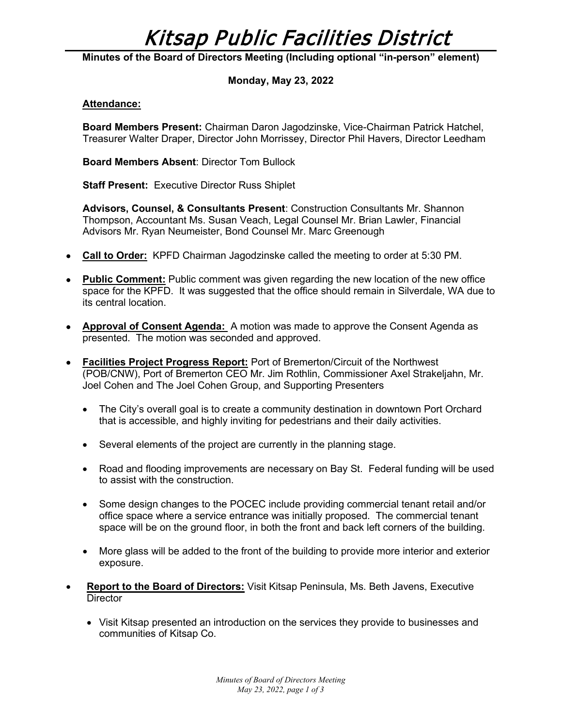# Kitsap Public Facilities District

**Minutes of the Board of Directors Meeting (Including optional "in-person" element)**

## **Monday, May 23, 2022**

#### **Attendance:**

**Board Members Present:** Chairman Daron Jagodzinske, Vice-Chairman Patrick Hatchel, Treasurer Walter Draper, Director John Morrissey, Director Phil Havers, Director Leedham

**Board Members Absent**: Director Tom Bullock

**Staff Present:** Executive Director Russ Shiplet

**Advisors, Counsel, & Consultants Present**: Construction Consultants Mr. Shannon Thompson, Accountant Ms. Susan Veach, Legal Counsel Mr. Brian Lawler, Financial Advisors Mr. Ryan Neumeister, Bond Counsel Mr. Marc Greenough

- **Call to Order:** KPFD Chairman Jagodzinske called the meeting to order at 5:30 PM.
- **Public Comment:** Public comment was given regarding the new location of the new office space for the KPFD. It was suggested that the office should remain in Silverdale, WA due to its central location.
- **Approval of Consent Agenda:** A motion was made to approve the Consent Agenda as presented. The motion was seconded and approved.
- **Facilities Project Progress Report:** Port of Bremerton/Circuit of the Northwest (POB/CNW), Port of Bremerton CEO Mr. Jim Rothlin, Commissioner Axel Strakeljahn, Mr. Joel Cohen and The Joel Cohen Group, and Supporting Presenters
	- The City's overall goal is to create a community destination in downtown Port Orchard that is accessible, and highly inviting for pedestrians and their daily activities.
	- Several elements of the project are currently in the planning stage.
	- Road and flooding improvements are necessary on Bay St. Federal funding will be used to assist with the construction.
	- Some design changes to the POCEC include providing commercial tenant retail and/or office space where a service entrance was initially proposed. The commercial tenant space will be on the ground floor, in both the front and back left corners of the building.
	- More glass will be added to the front of the building to provide more interior and exterior exposure.
- **Report to the Board of Directors:** Visit Kitsap Peninsula, Ms. Beth Javens, Executive **Director** 
	- Visit Kitsap presented an introduction on the services they provide to businesses and communities of Kitsap Co.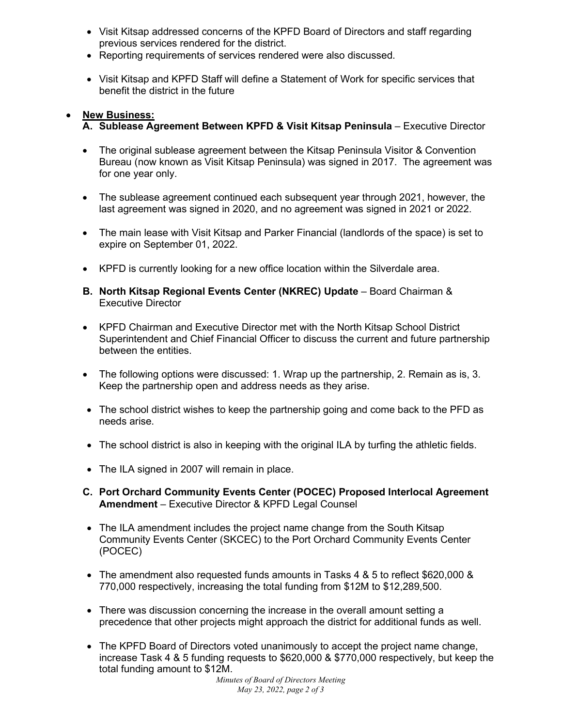- Visit Kitsap addressed concerns of the KPFD Board of Directors and staff regarding previous services rendered for the district.
- Reporting requirements of services rendered were also discussed.
- Visit Kitsap and KPFD Staff will define a Statement of Work for specific services that benefit the district in the future

## • **New Business:**

- **A. Sublease Agreement Between KPFD & Visit Kitsap Peninsula** Executive Director
- The original sublease agreement between the Kitsap Peninsula Visitor & Convention Bureau (now known as Visit Kitsap Peninsula) was signed in 2017. The agreement was for one year only.
- The sublease agreement continued each subsequent year through 2021, however, the last agreement was signed in 2020, and no agreement was signed in 2021 or 2022.
- The main lease with Visit Kitsap and Parker Financial (landlords of the space) is set to expire on September 01, 2022.
- KPFD is currently looking for a new office location within the Silverdale area.
- **B. North Kitsap Regional Events Center (NKREC) Update** Board Chairman & Executive Director
- KPFD Chairman and Executive Director met with the North Kitsap School District Superintendent and Chief Financial Officer to discuss the current and future partnership between the entities.
- The following options were discussed: 1. Wrap up the partnership, 2. Remain as is, 3. Keep the partnership open and address needs as they arise.
- The school district wishes to keep the partnership going and come back to the PFD as needs arise.
- The school district is also in keeping with the original ILA by turfing the athletic fields.
- The ILA signed in 2007 will remain in place.
- **C. Port Orchard Community Events Center (POCEC) Proposed Interlocal Agreement Amendment** – Executive Director & KPFD Legal Counsel
- The ILA amendment includes the project name change from the South Kitsap Community Events Center (SKCEC) to the Port Orchard Community Events Center (POCEC)
- The amendment also requested funds amounts in Tasks 4 & 5 to reflect \$620,000 & 770,000 respectively, increasing the total funding from \$12M to \$12,289,500.
- There was discussion concerning the increase in the overall amount setting a precedence that other projects might approach the district for additional funds as well.
- The KPFD Board of Directors voted unanimously to accept the project name change, increase Task 4 & 5 funding requests to \$620,000 & \$770,000 respectively, but keep the total funding amount to \$12M.